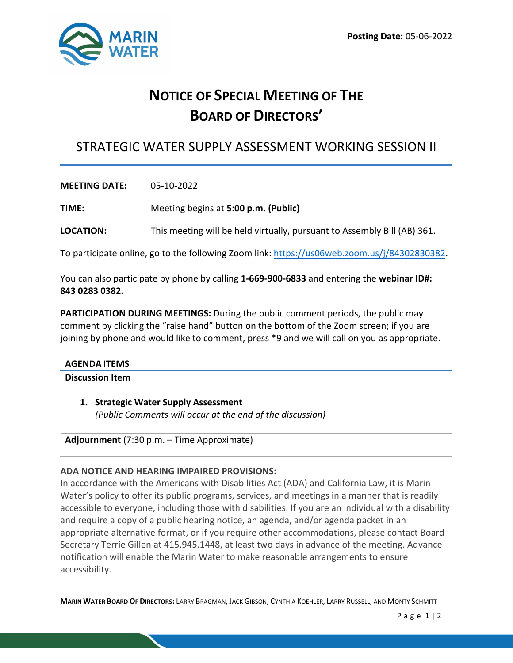

# **NOTICE OF SPECIAL MEETING OF THE BOARD OF DIRECTORS'**

# STRATEGIC WATER SUPPLY ASSESSMENT WORKING SESSION II

**MEETING DATE:** 05-10-2022

**TIME:** Meeting begins at **5:00 p.m. (Public)**

**LOCATION:** This meeting will be held virtually, pursuant to Assembly Bill (AB) 361.

To participate online, go to the following Zoom link: [https://us06web.zoom.us/j/84302830382.](https://us06web.zoom.us/j/84302830382)

You can also participate by phone by calling **1-669-900-6833** and entering the **webinar ID#: 843 0283 0382.** 

**PARTICIPATION DURING MEETINGS:** During the public comment periods, the public may comment by clicking the "raise hand" button on the bottom of the Zoom screen; if you are joining by phone and would like to comment, press \*9 and we will call on you as appropriate.

#### **AGENDA ITEMS**

# **Discussion Item**

**1. Strategic Water Supply Assessment**  *(Public Comments will occur at the end of the discussion)*

**Adjournment** (7:30 p.m. – Time Approximate)

# **ADA NOTICE AND HEARING IMPAIRED PROVISIONS:**

In accordance with the Americans with Disabilities Act (ADA) and California Law, it is Marin Water's policy to offer its public programs, services, and meetings in a manner that is readily accessible to everyone, including those with disabilities. If you are an individual with a disability and require a copy of a public hearing notice, an agenda, and/or agenda packet in an appropriate alternative format, or if you require other accommodations, please contact Board Secretary Terrie Gillen at 415.945.1448, at least two days in advance of the meeting. Advance notification will enable the Marin Water to make reasonable arrangements to ensure accessibility.

**MARIN WATER BOARD OF DIRECTORS:** LARRY BRAGMAN, JACK GIBSON, CYNTHIA KOEHLER, LARRY RUSSELL, AND MONTY SCHMITT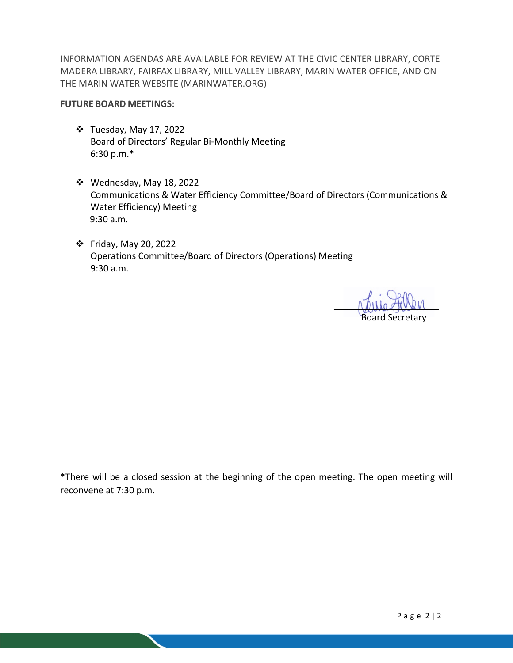INFORMATION AGENDAS ARE AVAILABLE FOR REVIEW AT THE CIVIC CENTER LIBRARY, CORTE MADERA LIBRARY, FAIRFAX LIBRARY, MILL VALLEY LIBRARY, MARIN WATER OFFICE, AND ON THE MARIN WATER WEBSITE (MARINWATER.ORG)

### **FUTURE BOARD MEETINGS:**

- Tuesday, May 17, 2022 Board of Directors' Regular Bi-Monthly Meeting 6:30 p.m.\*
- Wednesday, May 18, 2022 Communications & Water Efficiency Committee/Board of Directors (Communications & Water Efficiency) Meeting 9:30 a.m.
- Friday, May 20, 2022 Operations Committee/Board of Directors (Operations) Meeting 9:30 a.m.

rathe tensor Board Secretary

\*There will be a closed session at the beginning of the open meeting. The open meeting will reconvene at 7:30 p.m.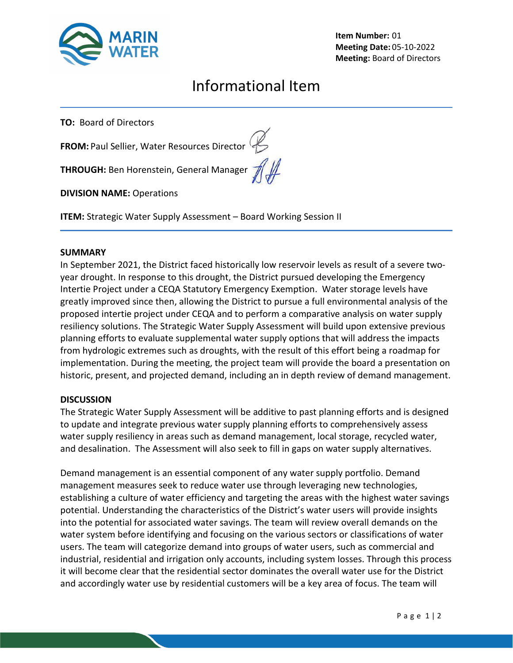

**Item Number:** 01 **Meeting Date:** 05-10-2022 **Meeting:** Board of Directors

# Informational Item

**TO:** Board of Directors

**FROM:** Paul Sellier, Water Resources Director

**THROUGH:** Ben Horenstein, General Manager  $\mathcal{H}$ 

**DIVISION NAME:** Operations

**ITEM:** Strategic Water Supply Assessment – Board Working Session II

### **SUMMARY**

In September 2021, the District faced historically low reservoir levels as result of a severe twoyear drought. In response to this drought, the District pursued developing the Emergency Intertie Project under a CEQA Statutory Emergency Exemption. Water storage levels have greatly improved since then, allowing the District to pursue a full environmental analysis of the proposed intertie project under CEQA and to perform a comparative analysis on water supply resiliency solutions. The Strategic Water Supply Assessment will build upon extensive previous planning efforts to evaluate supplemental water supply options that will address the impacts from hydrologic extremes such as droughts, with the result of this effort being a roadmap for implementation. During the meeting, the project team will provide the board a presentation on historic, present, and projected demand, including an in depth review of demand management.

# **DISCUSSION**

The Strategic Water Supply Assessment will be additive to past planning efforts and is designed to update and integrate previous water supply planning efforts to comprehensively assess water supply resiliency in areas such as demand management, local storage, recycled water, and desalination. The Assessment will also seek to fill in gaps on water supply alternatives.

Demand management is an essential component of any water supply portfolio. Demand management measures seek to reduce water use through leveraging new technologies, establishing a culture of water efficiency and targeting the areas with the highest water savings potential. Understanding the characteristics of the District's water users will provide insights into the potential for associated water savings. The team will review overall demands on the water system before identifying and focusing on the various sectors or classifications of water users. The team will categorize demand into groups of water users, such as commercial and industrial, residential and irrigation only accounts, including system losses. Through this process it will become clear that the residential sector dominates the overall water use for the District and accordingly water use by residential customers will be a key area of focus. The team will